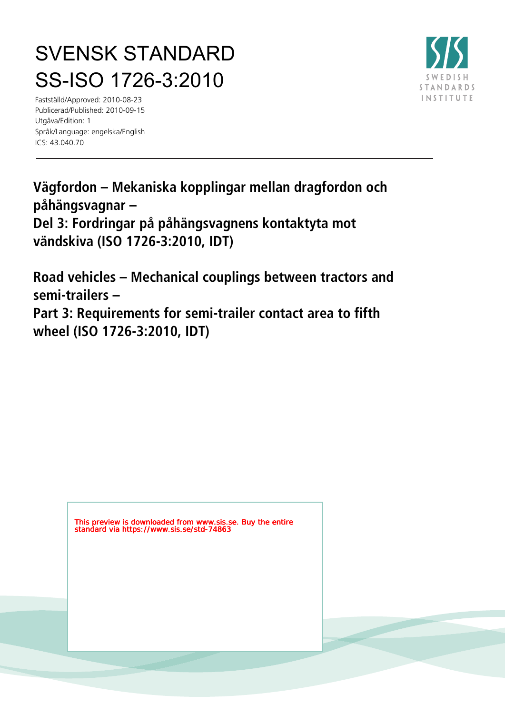# SVENSK STANDARD SS-ISO 1726-3:2010

Fastställd/Approved: 2010-08-23 Publicerad/Published: 2010-09-15 Utgåva/Edition: 1 Språk/Language: engelska/English ICS: 43.040.70



**Vägfordon – Mekaniska kopplingar mellan dragfordon och påhängsvagnar – Del 3: Fordringar på påhängsvagnens kontaktyta mot vändskiva (ISO 1726-3:2010, IDT)**

**Road vehicles – Mechanical couplings between tractors and semi-trailers – Part 3: Requirements for semi-trailer contact area to fifth**

**wheel (ISO 1726-3:2010, IDT)**

This preview is downloaded from www.sis.se. Buy the entire standard via https://www.sis.se/std-74863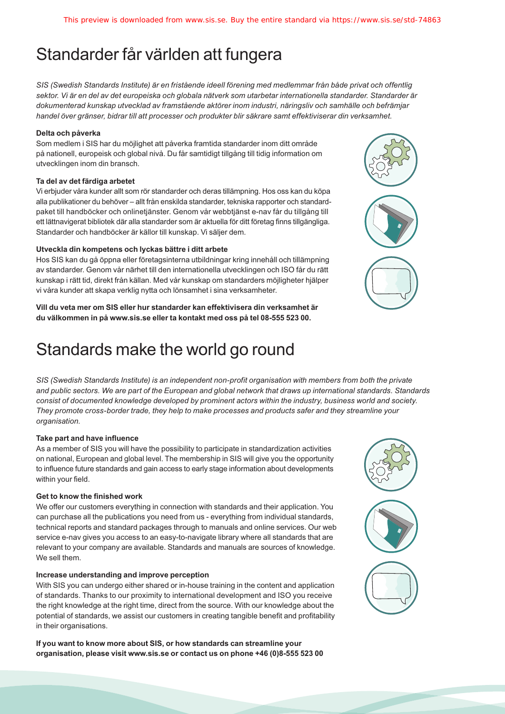## Standarder får världen att fungera

*SIS (Swedish Standards Institute) är en fristående ideell förening med medlemmar från både privat och offentlig sektor. Vi är en del av det europeiska och globala nätverk som utarbetar internationella standarder. Standarder är dokumenterad kunskap utvecklad av framstående aktörer inom industri, näringsliv och samhälle och befrämjar handel över gränser, bidrar till att processer och produkter blir säkrare samt effektiviserar din verksamhet.* 

#### **Delta och påverka**

Som medlem i SIS har du möjlighet att påverka framtida standarder inom ditt område på nationell, europeisk och global nivå. Du får samtidigt tillgång till tidig information om utvecklingen inom din bransch.

### **Ta del av det färdiga arbetet**

Vi erbjuder våra kunder allt som rör standarder och deras tillämpning. Hos oss kan du köpa alla publikationer du behöver – allt från enskilda standarder, tekniska rapporter och standardpaket till handböcker och onlinetjänster. Genom vår webbtjänst e-nav får du tillgång till ett lättnavigerat bibliotek där alla standarder som är aktuella för ditt företag finns tillgängliga. Standarder och handböcker är källor till kunskap. Vi säljer dem.

#### **Utveckla din kompetens och lyckas bättre i ditt arbete**

Hos SIS kan du gå öppna eller företagsinterna utbildningar kring innehåll och tillämpning av standarder. Genom vår närhet till den internationella utvecklingen och ISO får du rätt kunskap i rätt tid, direkt från källan. Med vår kunskap om standarders möjligheter hjälper vi våra kunder att skapa verklig nytta och lönsamhet i sina verksamheter.

**Vill du veta mer om SIS eller hur standarder kan effektivisera din verksamhet är du välkommen in på www.sis.se eller ta kontakt med oss på tel 08-555 523 00.**

## Standards make the world go round

*SIS (Swedish Standards Institute) is an independent non-profit organisation with members from both the private and public sectors. We are part of the European and global network that draws up international standards. Standards consist of documented knowledge developed by prominent actors within the industry, business world and society. They promote cross-border trade, they help to make processes and products safer and they streamline your organisation.*

### **Take part and have influence**

As a member of SIS you will have the possibility to participate in standardization activities on national, European and global level. The membership in SIS will give you the opportunity to influence future standards and gain access to early stage information about developments within your field.

#### **Get to know the finished work**

We offer our customers everything in connection with standards and their application. You can purchase all the publications you need from us - everything from individual standards, technical reports and standard packages through to manuals and online services. Our web service e-nav gives you access to an easy-to-navigate library where all standards that are relevant to your company are available. Standards and manuals are sources of knowledge. We sell them.

#### **Increase understanding and improve perception**

With SIS you can undergo either shared or in-house training in the content and application of standards. Thanks to our proximity to international development and ISO you receive the right knowledge at the right time, direct from the source. With our knowledge about the potential of standards, we assist our customers in creating tangible benefit and profitability in their organisations.

**If you want to know more about SIS, or how standards can streamline your organisation, please visit www.sis.se or contact us on phone +46 (0)8-555 523 00**



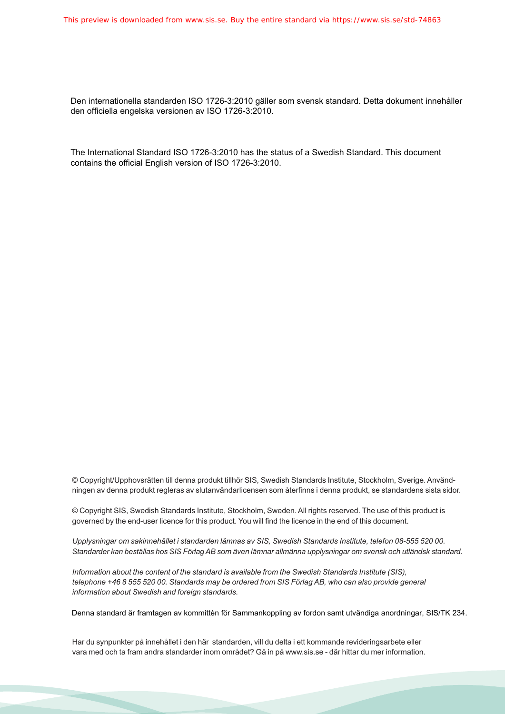Den internationella standarden ISO 1726-3:2010 gäller som svensk standard. Detta dokument innehåller den officiella engelska versionen av ISO 1726-3:2010.

The International Standard ISO 1726-3:2010 has the status of a Swedish Standard. This document contains the official English version of ISO 1726-3:2010.

© Copyright/Upphovsrätten till denna produkt tillhör SIS, Swedish Standards Institute, Stockholm, Sverige. Användningen av denna produkt regleras av slutanvändarlicensen som återfinns i denna produkt, se standardens sista sidor.

© Copyright SIS, Swedish Standards Institute, Stockholm, Sweden. All rights reserved. The use of this product is governed by the end-user licence for this product. You will find the licence in the end of this document.

*Upplysningar om sakinnehållet i standarden lämnas av SIS, Swedish Standards Institute, telefon 08-555 520 00. Standarder kan beställas hos SIS FörlagAB som även lämnar allmänna upplysningar om svensk och utländsk standard.*

*Information about the content of the standard is available from the Swedish Standards Institute (SIS), telephone +46 8 555 520 00. Standards may be ordered from SIS Förlag AB, who can also provide general information about Swedish and foreign standards.*

Denna standard är framtagen av kommittén för Sammankoppling av fordon samt utvändiga anordningar, SIS/TK 234.

Har du synpunkter på innehållet i den här standarden, vill du delta i ett kommande revideringsarbete eller vara med och ta fram andra standarder inom området? Gå in på www.sis.se - där hittar du mer information.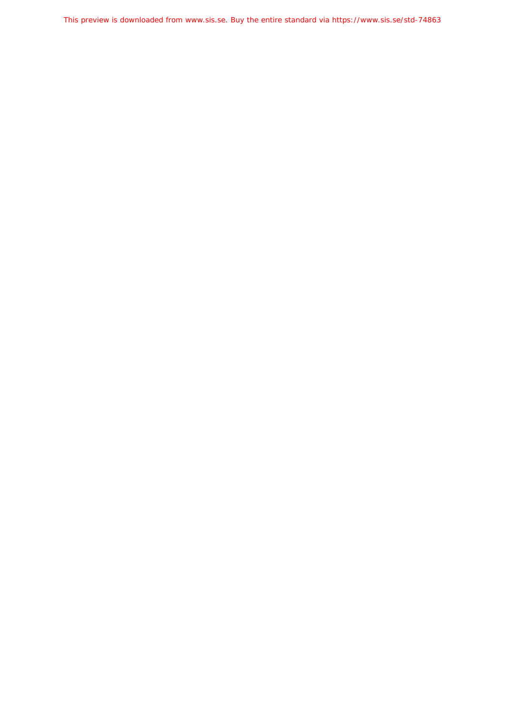This preview is downloaded from www.sis.se. Buy the entire standard via https://www.sis.se/std-74863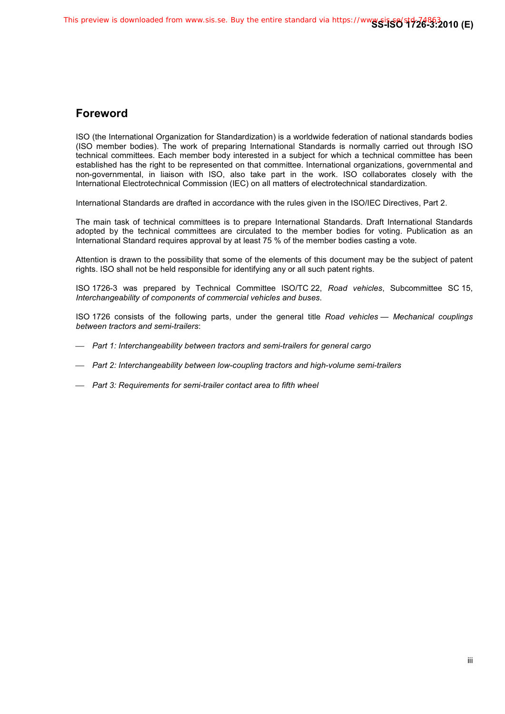## **Foreword**

ISO (the International Organization for Standardization) is a worldwide federation of national standards bodies (ISO member bodies). The work of preparing International Standards is normally carried out through ISO technical committees. Each member body interested in a subject for which a technical committee has been established has the right to be represented on that committee. International organizations, governmental and non-governmental, in liaison with ISO, also take part in the work. ISO collaborates closely with the International Electrotechnical Commission (IEC) on all matters of electrotechnical standardization.

International Standards are drafted in accordance with the rules given in the ISO/IEC Directives, Part 2.

The main task of technical committees is to prepare International Standards. Draft International Standards adopted by the technical committees are circulated to the member bodies for voting. Publication as an International Standard requires approval by at least 75 % of the member bodies casting a vote.

Attention is drawn to the possibility that some of the elements of this document may be the subject of patent rights. ISO shall not be held responsible for identifying any or all such patent rights.

ISO 1726-3 was prepared by Technical Committee ISO/TC 22, *Road vehicles*, Subcommittee SC 15, *Interchangeability of components of commercial vehicles and buses*.

ISO 1726 consists of the following parts, under the general title *Road vehicles — Mechanical couplings between tractors and semi-trailers*:

- ⎯ *Part 1: Interchangeability between tractors and semi-trailers for general cargo*
- ⎯ *Part 2: Interchangeability between low-coupling tractors and high-volume semi-trailers*
- ⎯ *Part 3: Requirements for semi-trailer contact area to fifth wheel*

**ISO 1726-3:2010(E)**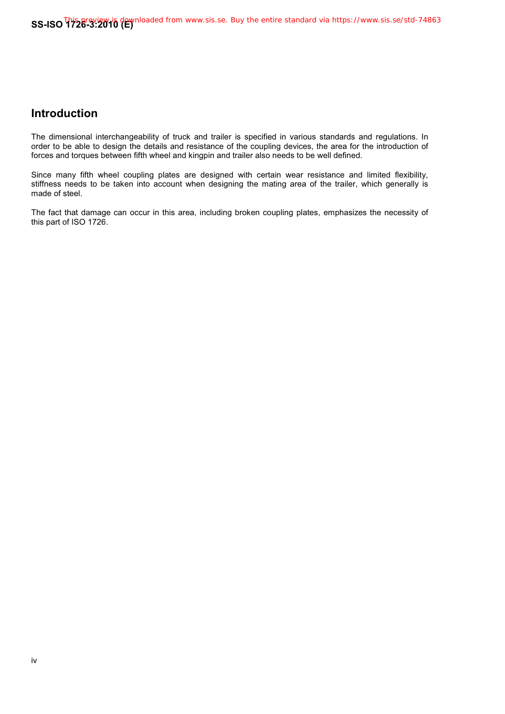## **Introduction**

The dimensional interchangeability of truck and trailer is specified in various standards and regulations. In order to be able to design the details and resistance of the coupling devices, the area for the introduction of forces and torques between fifth wheel and kingpin and trailer also needs to be well defined.

Since many fifth wheel coupling plates are designed with certain wear resistance and limited flexibility, stiffness needs to be taken into account when designing the mating area of the trailer, which generally is made of steel.

The fact that damage can occur in this area, including broken coupling plates, emphasizes the necessity of this part of ISO 1726.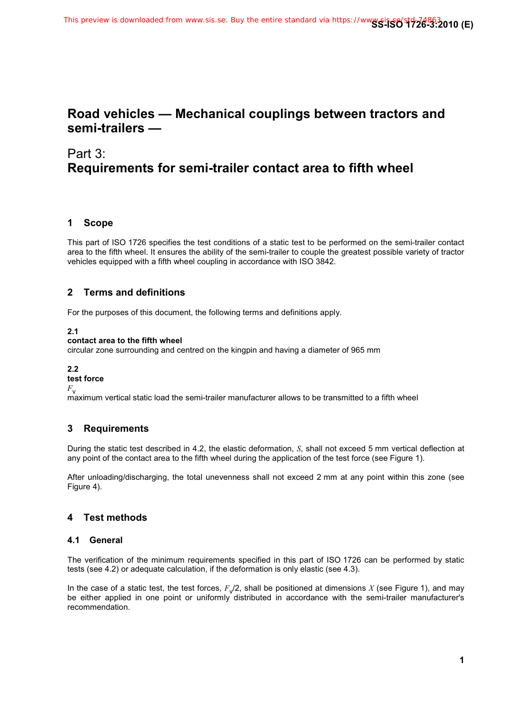## **Road vehicles — Mechanical couplings between tractors and semi-trailers —**

## Part 3: **Requirements for semi-trailer contact area to fifth wheel**

## **1 Scope**

This part of ISO 1726 specifies the test conditions of a static test to be performed on the semi-trailer contact area to the fifth wheel. It ensures the ability of the semi-trailer to couple the greatest possible variety of tractor vehicles equipped with a fifth wheel coupling in accordance with ISO 3842.

## **2 Terms and definitions**

For the purposes of this document, the following terms and definitions apply.

## **2.1**

## **contact area to the fifth wheel**

circular zone surrounding and centred on the kingpin and having a diameter of 965 mm

### **2.2**

## **test force**

 $F_{V}$ 

maximum vertical static load the semi-trailer manufacturer allows to be transmitted to a fifth wheel

## **3 Requirements**

During the static test described in 4.2, the elastic deformation, *S*, shall not exceed 5 mm vertical deflection at any point of the contact area to the fifth wheel during the application of the test force (see Figure 1).

After unloading/discharging, the total unevenness shall not exceed 2 mm at any point within this zone (see Figure 4).

## **4 Test methods**

## **4.1 General**

The verification of the minimum requirements specified in this part of ISO 1726 can be performed by static tests (see 4.2) or adequate calculation, if the deformation is only elastic (see 4.3).

In the case of a static test, the test forces,  $F_v/2$ , shall be positioned at dimensions  $X$  (see Figure 1), and may be either applied in one point or uniformly distributed in accordance with the semi-trailer manufacturer's recommendation.